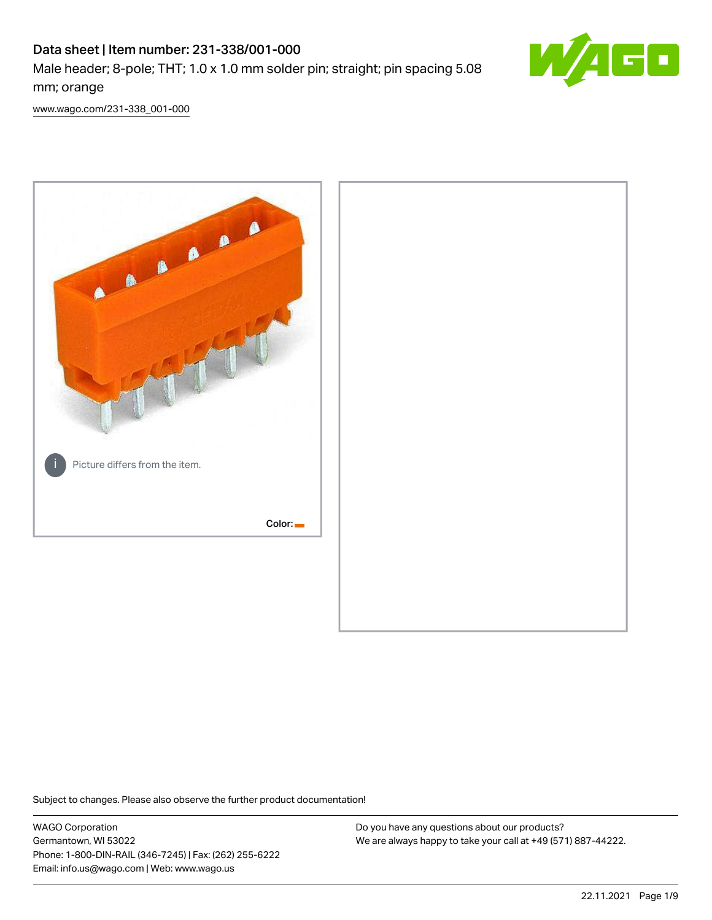# Data sheet | Item number: 231-338/001-000 Male header; 8-pole; THT; 1.0 x 1.0 mm solder pin; straight; pin spacing 5.08 mm; orange



[www.wago.com/231-338\\_001-000](http://www.wago.com/231-338_001-000)



Subject to changes. Please also observe the further product documentation!

WAGO Corporation Germantown, WI 53022 Phone: 1-800-DIN-RAIL (346-7245) | Fax: (262) 255-6222 Email: info.us@wago.com | Web: www.wago.us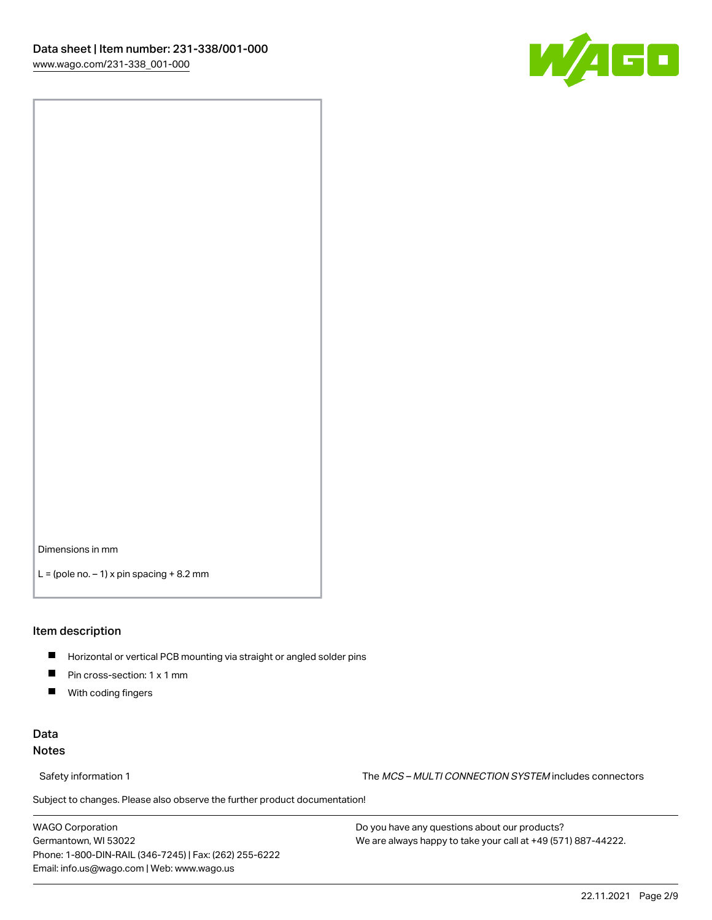

Dimensions in mm

 $L =$  (pole no.  $-1$ ) x pin spacing  $+8.2$  mm

#### Item description

- **Horizontal or vertical PCB mounting via straight or angled solder pins**
- **Pin cross-section: 1 x 1 mm**
- $\blacksquare$ With coding fingers

## Data Notes

Safety information 1 The MCS – MULTI CONNECTION SYSTEM includes connectors

Subject to changes. Please also observe the further product documentation!  $\nu$ 

WAGO Corporation Germantown, WI 53022 Phone: 1-800-DIN-RAIL (346-7245) | Fax: (262) 255-6222 Email: info.us@wago.com | Web: www.wago.us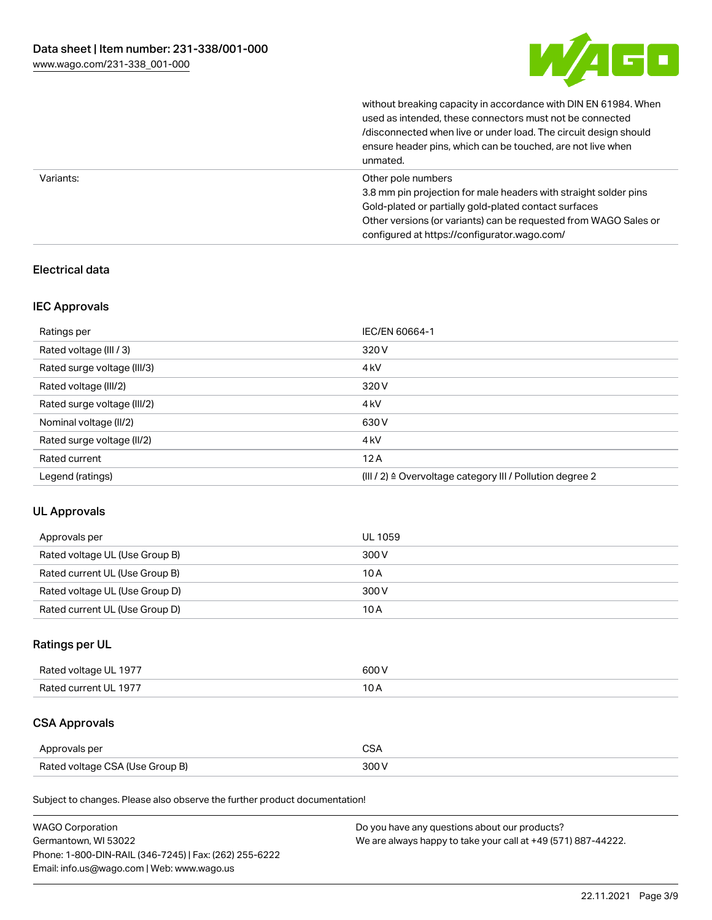

without breaking capacity in accordance with DIN EN 61984. When

|           | used as intended, these connectors must not be connected<br>/disconnected when live or under load. The circuit design should<br>ensure header pins, which can be touched, are not live when<br>unmated.                                                             |
|-----------|---------------------------------------------------------------------------------------------------------------------------------------------------------------------------------------------------------------------------------------------------------------------|
| Variants: | Other pole numbers<br>3.8 mm pin projection for male headers with straight solder pins<br>Gold-plated or partially gold-plated contact surfaces<br>Other versions (or variants) can be requested from WAGO Sales or<br>configured at https://configurator.wago.com/ |

## Electrical data

## IEC Approvals

| Ratings per                 | IEC/EN 60664-1                                                        |
|-----------------------------|-----------------------------------------------------------------------|
| Rated voltage (III / 3)     | 320 V                                                                 |
| Rated surge voltage (III/3) | 4 <sub>kV</sub>                                                       |
| Rated voltage (III/2)       | 320 V                                                                 |
| Rated surge voltage (III/2) | 4 <sub>k</sub> V                                                      |
| Nominal voltage (II/2)      | 630 V                                                                 |
| Rated surge voltage (II/2)  | 4 <sub>k</sub> V                                                      |
| Rated current               | 12A                                                                   |
| Legend (ratings)            | $(III / 2)$ $\triangle$ Overvoltage category III / Pollution degree 2 |

## UL Approvals

| Approvals per                  | UL 1059 |
|--------------------------------|---------|
| Rated voltage UL (Use Group B) | 300 V   |
| Rated current UL (Use Group B) | 10 A    |
| Rated voltage UL (Use Group D) | 300 V   |
| Rated current UL (Use Group D) | 10 A    |

## Ratings per UL

| Rated voltage UL 1977 | 600 V |
|-----------------------|-------|
| Rated current UL 1977 |       |

## CSA Approvals

| Approvals per                   | ~~    |
|---------------------------------|-------|
| Rated voltage CSA (Use Group B) | 3UU 1 |

Subject to changes. Please also observe the further product documentation!

| <b>WAGO Corporation</b>                                | Do you have any questions about our products?                 |
|--------------------------------------------------------|---------------------------------------------------------------|
| Germantown, WI 53022                                   | We are always happy to take your call at +49 (571) 887-44222. |
| Phone: 1-800-DIN-RAIL (346-7245)   Fax: (262) 255-6222 |                                                               |
| Email: info.us@wago.com   Web: www.wago.us             |                                                               |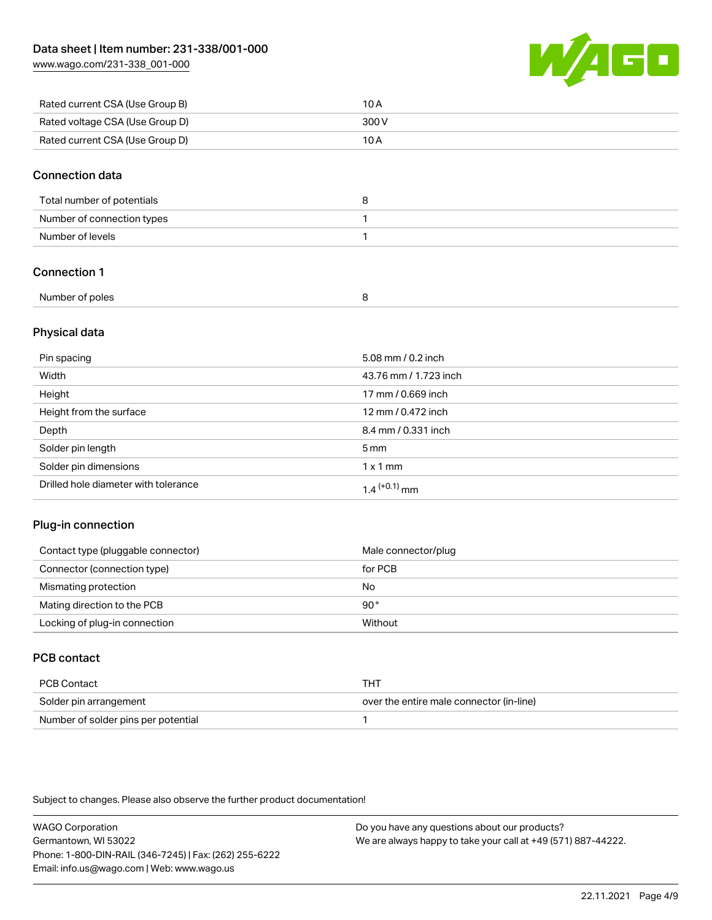[www.wago.com/231-338\\_001-000](http://www.wago.com/231-338_001-000)



| Rated current CSA (Use Group B) | 10 A  |
|---------------------------------|-------|
| Rated voltage CSA (Use Group D) | 300 V |
| Rated current CSA (Use Group D) | 10 A  |

### Connection data

| Total number of potentials |  |
|----------------------------|--|
| Number of connection types |  |
| Number of levels           |  |

## Connection 1

| Number of poles |  |
|-----------------|--|
|                 |  |

## Physical data

| Pin spacing                          | 5.08 mm / 0.2 inch    |
|--------------------------------------|-----------------------|
| Width                                | 43.76 mm / 1.723 inch |
| Height                               | 17 mm / 0.669 inch    |
| Height from the surface              | 12 mm / 0.472 inch    |
| Depth                                | 8.4 mm / 0.331 inch   |
| Solder pin length                    | $5 \,\mathrm{mm}$     |
| Solder pin dimensions                | $1 \times 1$ mm       |
| Drilled hole diameter with tolerance | $1.4$ $(+0.1)$ mm     |

## Plug-in connection

| Contact type (pluggable connector) | Male connector/plug |
|------------------------------------|---------------------|
| Connector (connection type)        | for PCB             |
| Mismating protection               | No                  |
| Mating direction to the PCB        | 90°                 |
| Locking of plug-in connection      | Without             |

## PCB contact

| PCB Contact                         | THT                                      |
|-------------------------------------|------------------------------------------|
| Solder pin arrangement              | over the entire male connector (in-line) |
| Number of solder pins per potential |                                          |

Subject to changes. Please also observe the further product documentation!

WAGO Corporation Germantown, WI 53022 Phone: 1-800-DIN-RAIL (346-7245) | Fax: (262) 255-6222 Email: info.us@wago.com | Web: www.wago.us Do you have any questions about our products? We are always happy to take your call at +49 (571) 887-44222.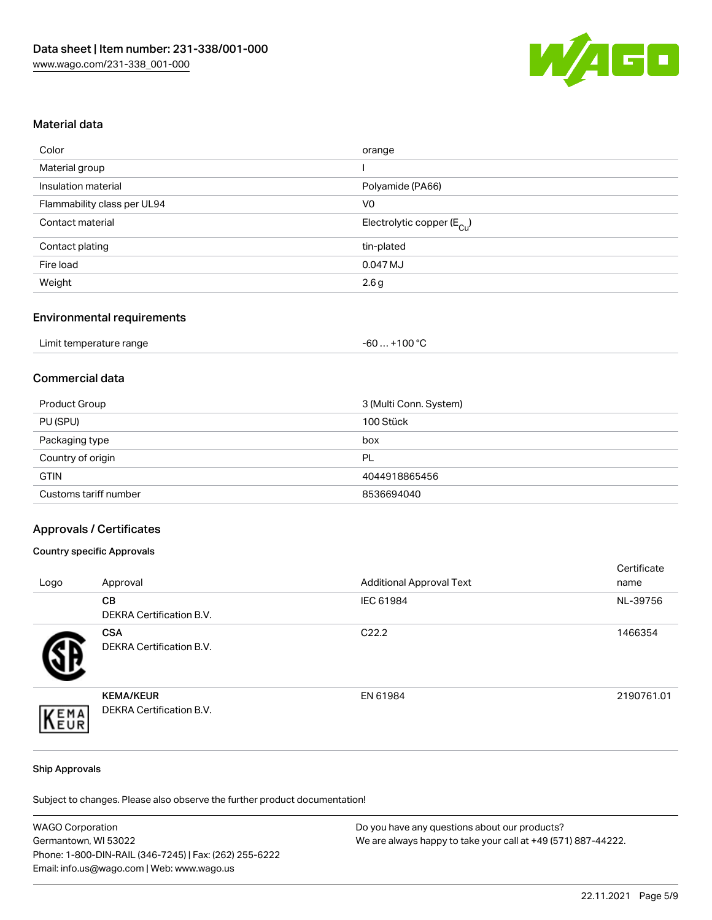

### Material data

| Color                       | orange                                 |
|-----------------------------|----------------------------------------|
| Material group              |                                        |
| Insulation material         | Polyamide (PA66)                       |
| Flammability class per UL94 | V0                                     |
| Contact material            | Electrolytic copper (E <sub>Cu</sub> ) |
| Contact plating             | tin-plated                             |
| Fire load                   | 0.047 MJ                               |
| Weight                      | 2.6g                                   |
|                             |                                        |

## Environmental requirements

| Limit temperature range | . +100 °C<br>-60 |
|-------------------------|------------------|
|-------------------------|------------------|

## Commercial data

| Product Group         | 3 (Multi Conn. System) |
|-----------------------|------------------------|
| PU (SPU)              | 100 Stück              |
| Packaging type        | box                    |
| Country of origin     | PL                     |
| <b>GTIN</b>           | 4044918865456          |
| Customs tariff number | 8536694040             |

#### Approvals / Certificates

#### Country specific Approvals

| Logo | Approval                                            | <b>Additional Approval Text</b> | Certificate<br>name |
|------|-----------------------------------------------------|---------------------------------|---------------------|
|      | <b>CB</b><br>DEKRA Certification B.V.               | IEC 61984                       | NL-39756            |
|      | <b>CSA</b><br>DEKRA Certification B.V.              | C <sub>22.2</sub>               | 1466354             |
| EMA  | <b>KEMA/KEUR</b><br><b>DEKRA Certification B.V.</b> | EN 61984                        | 2190761.01          |

#### Ship Approvals

Subject to changes. Please also observe the further product documentation!

| <b>WAGO Corporation</b>                                | Do you have any questions about our products?                 |  |
|--------------------------------------------------------|---------------------------------------------------------------|--|
| Germantown, WI 53022                                   | We are always happy to take your call at +49 (571) 887-44222. |  |
| Phone: 1-800-DIN-RAIL (346-7245)   Fax: (262) 255-6222 |                                                               |  |
| Email: info.us@wago.com   Web: www.wago.us             |                                                               |  |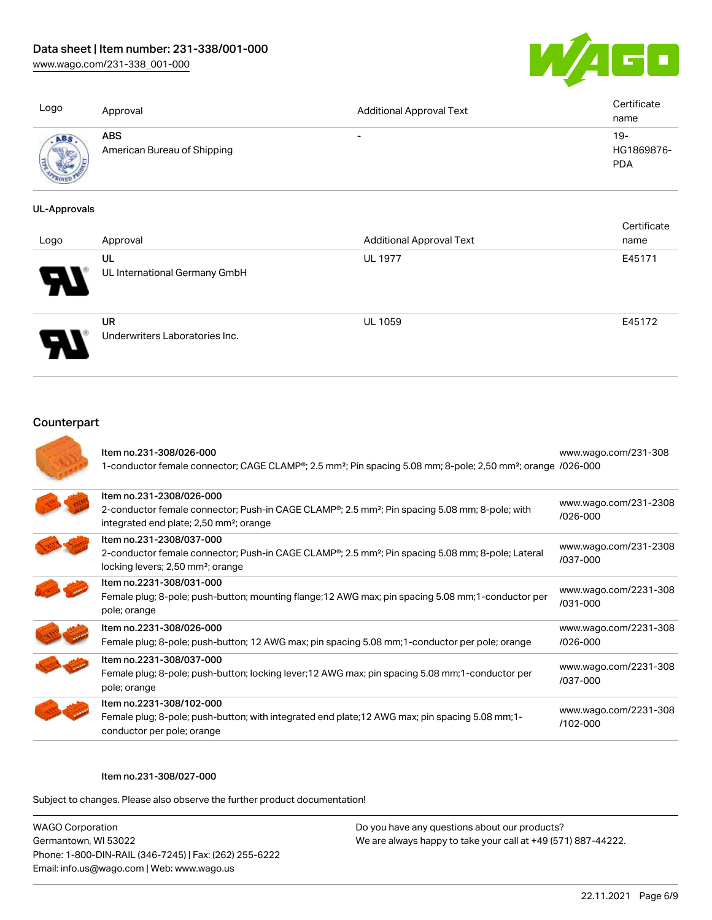[www.wago.com/231-338\\_001-000](http://www.wago.com/231-338_001-000)



| Logo | Approval                                  | <b>Additional Approval Text</b> | Certificate<br>name               |
|------|-------------------------------------------|---------------------------------|-----------------------------------|
|      | <b>ABS</b><br>American Bureau of Shipping | $\overline{\phantom{0}}$        | $19-$<br>HG1869876-<br><b>PDA</b> |

#### UL-Approvals

| Logo | Approval                                    | <b>Additional Approval Text</b> | Certificate<br>name |
|------|---------------------------------------------|---------------------------------|---------------------|
| Ъ.   | UL<br>UL International Germany GmbH         | <b>UL 1977</b>                  | E45171              |
|      | <b>UR</b><br>Underwriters Laboratories Inc. | <b>UL 1059</b>                  | E45172              |

## **Counterpart**

| Item no.231-308/026-000<br>1-conductor female connector; CAGE CLAMP®; 2.5 mm <sup>2</sup> ; Pin spacing 5.08 mm; 8-pole; 2,50 mm <sup>2</sup> ; orange /026-000                                            | www.wago.com/231-308                  |
|------------------------------------------------------------------------------------------------------------------------------------------------------------------------------------------------------------|---------------------------------------|
| Item no.231-2308/026-000<br>2-conductor female connector; Push-in CAGE CLAMP <sup>®</sup> ; 2.5 mm <sup>2</sup> ; Pin spacing 5.08 mm; 8-pole; with<br>integrated end plate; 2,50 mm <sup>2</sup> ; orange | www.wago.com/231-2308<br>$/026 - 000$ |
| Item no.231-2308/037-000<br>2-conductor female connector; Push-in CAGE CLAMP <sup>®</sup> ; 2.5 mm <sup>2</sup> ; Pin spacing 5.08 mm; 8-pole; Lateral<br>locking levers; 2,50 mm <sup>2</sup> ; orange    | www.wago.com/231-2308<br>/037-000     |
| Item no.2231-308/031-000<br>Female plug; 8-pole; push-button; mounting flange; 12 AWG max; pin spacing 5.08 mm; 1-conductor per<br>pole; orange                                                            | www.wago.com/2231-308<br>/031-000     |
| Item no.2231-308/026-000<br>Female plug; 8-pole; push-button; 12 AWG max; pin spacing 5.08 mm; 1-conductor per pole; orange                                                                                | www.wago.com/2231-308<br>$/026 - 000$ |
| Item no.2231-308/037-000<br>Female plug; 8-pole; push-button; locking lever; 12 AWG max; pin spacing 5.08 mm; 1-conductor per<br>pole; orange                                                              | www.wago.com/2231-308<br>/037-000     |
| Item no.2231-308/102-000<br>Female plug; 8-pole; push-button; with integrated end plate; 12 AWG max; pin spacing 5.08 mm; 1-<br>conductor per pole; orange                                                 | www.wago.com/2231-308<br>$/102 - 000$ |

#### Item no.231-308/027-000

Subject to changes. Please also observe the further product documentation!

WAGO Corporation Germantown, WI 53022 Phone: 1-800-DIN-RAIL (346-7245) | Fax: (262) 255-6222 Email: info.us@wago.com | Web: www.wago.us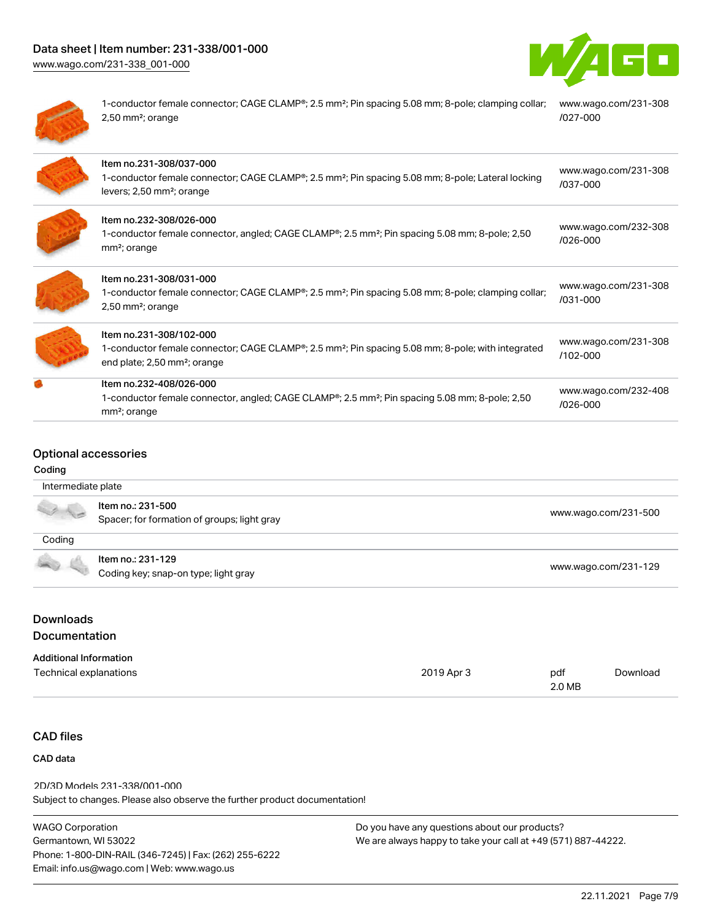# Data sheet | Item number: 231-338/001-000

[www.wago.com/231-338\\_001-000](http://www.wago.com/231-338_001-000)





1-conductor female connector; CAGE CLAMP®; 2.5 mm<sup>2</sup>; Pin spacing 5.08 mm; 8-pole; clamping collar; 2,50 mm²; orange [www.wago.com/231-308](https://www.wago.com/231-308/027-000) [/027-000](https://www.wago.com/231-308/027-000)

| Item no.231-308/037-000<br>1-conductor female connector; CAGE CLAMP®; 2.5 mm <sup>2</sup> ; Pin spacing 5.08 mm; 8-pole; Lateral locking<br>levers; 2,50 mm <sup>2</sup> ; orange    | www.wago.com/231-308<br>/037-000     |
|--------------------------------------------------------------------------------------------------------------------------------------------------------------------------------------|--------------------------------------|
| Item no.232-308/026-000<br>1-conductor female connector, angled; CAGE CLAMP <sup>®</sup> ; 2.5 mm <sup>2</sup> ; Pin spacing 5.08 mm; 8-pole; 2,50<br>mm <sup>2</sup> ; orange       | www.wago.com/232-308<br>/026-000     |
| Item no.231-308/031-000<br>1-conductor female connector; CAGE CLAMP®; 2.5 mm <sup>2</sup> ; Pin spacing 5.08 mm; 8-pole; clamping collar;<br>$2,50$ mm <sup>2</sup> ; orange         | www.wago.com/231-308<br>$/031 - 000$ |
| Item no.231-308/102-000<br>1-conductor female connector; CAGE CLAMP®; 2.5 mm <sup>2</sup> ; Pin spacing 5.08 mm; 8-pole; with integrated<br>end plate; 2,50 mm <sup>2</sup> ; orange | www.wago.com/231-308<br>$/102 - 000$ |
| Item no.232-408/026-000<br>1-conductor female connector, angled; CAGE CLAMP®; 2.5 mm <sup>2</sup> ; Pin spacing 5.08 mm; 8-pole; 2,50<br>mm <sup>2</sup> ; orange                    | www.wago.com/232-408<br>/026-000     |

## Optional accessories

#### Coding

|        | Item no.: 231-500<br>Spacer; for formation of groups; light gray | www.wago.com/231-500 |
|--------|------------------------------------------------------------------|----------------------|
| Coding |                                                                  |                      |
| 3.6    | Item no.: 231-129                                                |                      |
|        | Coding key; snap-on type; light gray                             | www.wago.com/231-129 |

## Downloads Documentation

| <b>Additional Information</b> |            |        |          |
|-------------------------------|------------|--------|----------|
| Technical explanations        | 2019 Apr 3 | pdf    | Download |
|                               |            | 2.0 MB |          |

## CAD files

#### CAD data

Subject to changes. Please also observe the further product documentation! 2D/3D Models 231-338/001-000

| <b>WAGO Corporation</b>                                |  |
|--------------------------------------------------------|--|
| Germantown, WI 53022                                   |  |
| Phone: 1-800-DIN-RAIL (346-7245)   Fax: (262) 255-6222 |  |
| Email: info.us@wago.com   Web: www.wago.us             |  |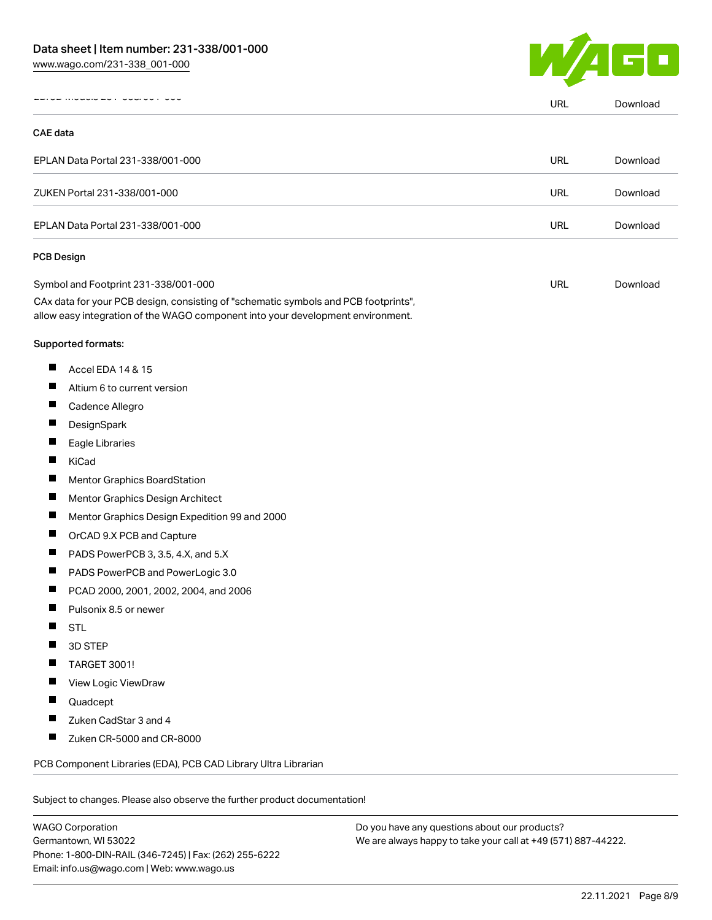

|                 | <b>INIUMO LUT UUMUU</b>                                                                                                                                                                                        | <b>URL</b> | Download |
|-----------------|----------------------------------------------------------------------------------------------------------------------------------------------------------------------------------------------------------------|------------|----------|
| <b>CAE</b> data |                                                                                                                                                                                                                |            |          |
|                 | EPLAN Data Portal 231-338/001-000                                                                                                                                                                              | URL        | Download |
|                 | ZUKEN Portal 231-338/001-000                                                                                                                                                                                   | URL        | Download |
|                 | EPLAN Data Portal 231-338/001-000                                                                                                                                                                              | URL        | Download |
|                 | <b>PCB Design</b>                                                                                                                                                                                              |            |          |
|                 | Symbol and Footprint 231-338/001-000<br>CAx data for your PCB design, consisting of "schematic symbols and PCB footprints",<br>allow easy integration of the WAGO component into your development environment. | URL        | Download |
|                 | Supported formats:                                                                                                                                                                                             |            |          |
| ш               | Accel EDA 14 & 15                                                                                                                                                                                              |            |          |
| Ц               | Altium 6 to current version                                                                                                                                                                                    |            |          |
| Ш               | Cadence Allegro                                                                                                                                                                                                |            |          |
| П               | DesignSpark                                                                                                                                                                                                    |            |          |
| Ш               | Eagle Libraries                                                                                                                                                                                                |            |          |
| П               | KiCad                                                                                                                                                                                                          |            |          |
| Ш               | <b>Mentor Graphics BoardStation</b>                                                                                                                                                                            |            |          |
| ш               | Mentor Graphics Design Architect                                                                                                                                                                               |            |          |
| ш               | Mentor Graphics Design Expedition 99 and 2000                                                                                                                                                                  |            |          |
| Ш               | OrCAD 9.X PCB and Capture                                                                                                                                                                                      |            |          |
| П               | PADS PowerPCB 3, 3.5, 4.X, and 5.X                                                                                                                                                                             |            |          |
| ш               | PADS PowerPCB and PowerLogic 3.0                                                                                                                                                                               |            |          |
| ш               | PCAD 2000, 2001, 2002, 2004, and 2006                                                                                                                                                                          |            |          |
|                 | Pulsonix 8.5 or newer                                                                                                                                                                                          |            |          |
|                 | <b>STL</b>                                                                                                                                                                                                     |            |          |
|                 | 3D STEP                                                                                                                                                                                                        |            |          |
|                 | TARGET 3001!                                                                                                                                                                                                   |            |          |
|                 | View Logic ViewDraw                                                                                                                                                                                            |            |          |
| ш               | Quadcept                                                                                                                                                                                                       |            |          |
|                 | Zuken CadStar 3 and 4                                                                                                                                                                                          |            |          |
| ш               | Zuken CR-5000 and CR-8000                                                                                                                                                                                      |            |          |
|                 | PCB Component Libraries (EDA), PCB CAD Library Ultra Librarian                                                                                                                                                 |            |          |

WAGO Corporation Germantown, WI 53022 Phone: 1-800-DIN-RAIL (346-7245) | Fax: (262) 255-6222 Email: info.us@wago.com | Web: www.wago.us